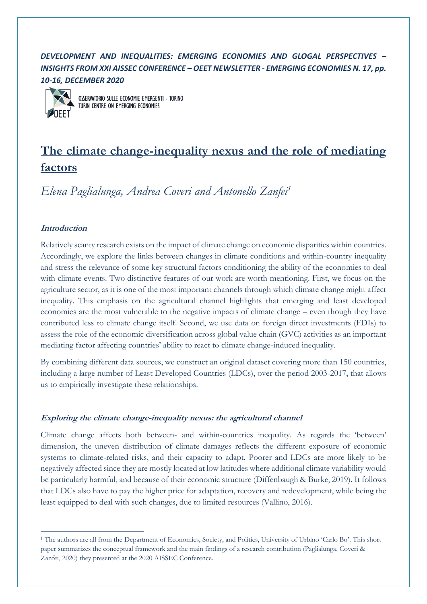## *DEVELOPMENT AND INEQUALITIES: EMERGING ECONOMIES AND GLOGAL PERSPECTIVES – INSIGHTS FROM XXI AISSEC CONFERENCE – OEET NEWSLETTER - EMERGING ECONOMIES N. 17, pp. 10-16, DECEMBER 2020*



OSSERVATORIO SULLE ECONOMIE EMERGENTI - TORINO TURIN CENTRE ON EMERGING ECONOMIES

# **The climate change-inequality nexus and the role of mediating factors**

*Elena Paglialunga, Andrea Coveri and Antonello Zanfei<sup>1</sup>*

## **Introduction**

Relatively scanty research exists on the impact of climate change on economic disparities within countries. Accordingly, we explore the links between changes in climate conditions and within-country inequality and stress the relevance of some key structural factors conditioning the ability of the economies to deal with climate events. Two distinctive features of our work are worth mentioning. First, we focus on the agriculture sector, as it is one of the most important channels through which climate change might affect inequality. This emphasis on the agricultural channel highlights that emerging and least developed economies are the most vulnerable to the negative impacts of climate change – even though they have contributed less to climate change itself. Second, we use data on foreign direct investments (FDIs) to assess the role of the economic diversification across global value chain (GVC) activities as an important mediating factor affecting countries' ability to react to climate change-induced inequality.

By combining different data sources, we construct an original dataset covering more than 150 countries, including a large number of Least Developed Countries (LDCs), over the period 2003-2017, that allows us to empirically investigate these relationships.

## **Exploring the climate change-inequality nexus: the agricultural channel**

Climate change affects both between- and within-countries inequality. As regards the 'between' dimension, the uneven distribution of climate damages reflects the different exposure of economic systems to climate-related risks, and their capacity to adapt. Poorer and LDCs are more likely to be negatively affected since they are mostly located at low latitudes where additional climate variability would be particularly harmful, and because of their economic structure (Diffenbaugh & Burke, 2019). It follows that LDCs also have to pay the higher price for adaptation, recovery and redevelopment, while being the least equipped to deal with such changes, due to limited resources (Vallino, 2016).

<sup>1</sup> The authors are all from the Department of Economics, Society, and Politics, University of Urbino 'Carlo Bo'. This short paper summarizes the conceptual framework and the main findings of a research contribution (Paglialunga, Coveri & Zanfei, 2020) they presented at the 2020 AISSEC Conference.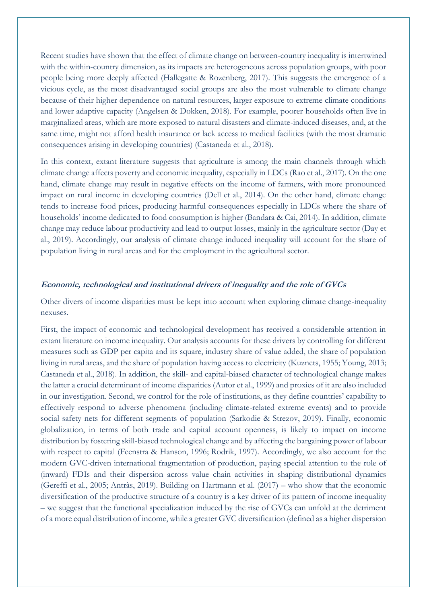Recent studies have shown that the effect of climate change on between-country inequality is intertwined with the within-country dimension, as its impacts are heterogeneous across population groups, with poor people being more deeply affected (Hallegatte & Rozenberg, 2017). This suggests the emergence of a vicious cycle, as the most disadvantaged social groups are also the most vulnerable to climate change because of their higher dependence on natural resources, larger exposure to extreme climate conditions and lower adaptive capacity (Angelsen & Dokken, 2018). For example, poorer households often live in marginalized areas, which are more exposed to natural disasters and climate-induced diseases, and, at the same time, might not afford health insurance or lack access to medical facilities (with the most dramatic consequences arising in developing countries) (Castaneda et al., 2018).

In this context, extant literature suggests that agriculture is among the main channels through which climate change affects poverty and economic inequality, especially in LDCs (Rao et al., 2017). On the one hand, climate change may result in negative effects on the income of farmers, with more pronounced impact on rural income in developing countries (Dell et al., 2014). On the other hand, climate change tends to increase food prices, producing harmful consequences especially in LDCs where the share of households' income dedicated to food consumption is higher (Bandara & Cai, 2014). In addition, climate change may reduce labour productivity and lead to output losses, mainly in the agriculture sector (Day et al., 2019). Accordingly, our analysis of climate change induced inequality will account for the share of population living in rural areas and for the employment in the agricultural sector.

#### **Economic, technological and institutional drivers of inequality and the role of GVCs**

Other divers of income disparities must be kept into account when exploring climate change-inequality nexuses.

First, the impact of economic and technological development has received a considerable attention in extant literature on income inequality. Our analysis accounts for these drivers by controlling for different measures such as GDP per capita and its square, industry share of value added, the share of population living in rural areas, and the share of population having access to electricity (Kuznets, 1955; Young, 2013; Castaneda et al., 2018). In addition, the skill- and capital-biased character of technological change makes the latter a crucial determinant of income disparities (Autor et al., 1999) and proxies of it are also included in our investigation. Second, we control for the role of institutions, as they define countries' capability to effectively respond to adverse phenomena (including climate-related extreme events) and to provide social safety nets for different segments of population (Sarkodie & Strezov, 2019). Finally, economic globalization, in terms of both trade and capital account openness, is likely to impact on income distribution by fostering skill-biased technological change and by affecting the bargaining power of labour with respect to capital (Feenstra & Hanson, 1996; Rodrik, 1997). Accordingly, we also account for the modern GVC-driven international fragmentation of production, paying special attention to the role of (inward) FDIs and their dispersion across value chain activities in shaping distributional dynamics (Gereffi et al., 2005; Antràs, 2019). Building on Hartmann et al. (2017) – who show that the economic diversification of the productive structure of a country is a key driver of its pattern of income inequality – we suggest that the functional specialization induced by the rise of GVCs can unfold at the detriment of a more equal distribution of income, while a greater GVC diversification (defined as a higher dispersion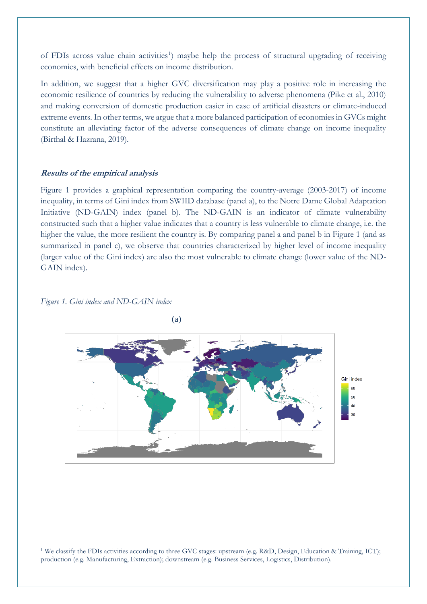of FDIs across value chain activities<sup>1</sup>) maybe help the process of structural upgrading of receiving economies, with beneficial effects on income distribution.

In addition, we suggest that a higher GVC diversification may play a positive role in increasing the economic resilience of countries by reducing the vulnerability to adverse phenomena (Pike et al., 2010) and making conversion of domestic production easier in case of artificial disasters or climate-induced extreme events. In other terms, we argue that a more balanced participation of economies in GVCs might constitute an alleviating factor of the adverse consequences of climate change on income inequality (Birthal & Hazrana, 2019).

#### **Results of the empirical analysis**

Figure 1 provides a graphical representation comparing the country-average (2003-2017) of income inequality, in terms of Gini index from SWIID database (panel a), to the Notre Dame Global Adaptation Initiative (ND-GAIN) index (panel b). The ND-GAIN is an indicator of climate vulnerability constructed such that a higher value indicates that a country is less vulnerable to climate change, i.e. the higher the value, the more resilient the country is. By comparing panel a and panel b in Figure 1 (and as summarized in panel c), we observe that countries characterized by higher level of income inequality (larger value of the Gini index) are also the most vulnerable to climate change (lower value of the ND-GAIN index).

#### *Figure 1. Gini index and ND-GAIN index*





<sup>&</sup>lt;sup>1</sup> We classify the FDIs activities according to three GVC stages: upstream (e.g. R&D, Design, Education & Training, ICT); production (e.g. Manufacturing, Extraction); downstream (e.g. Business Services, Logistics, Distribution).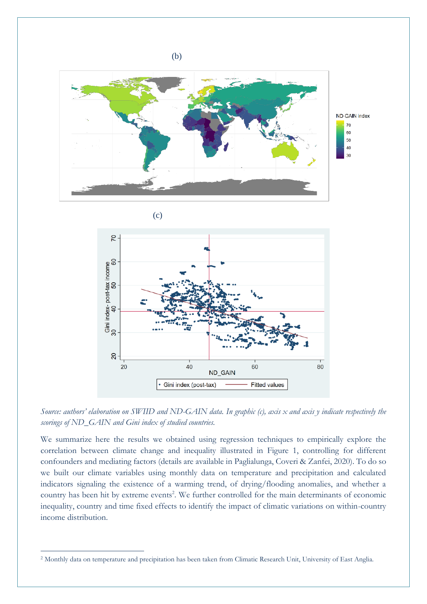

*Source: authors' elaboration on SWIID and ND-GAIN data. In graphic (c), axis x and axis y indicate respectively the scorings of ND\_GAIN and Gini index of studied countries.*

ND GAIN

60

**Fitted values** 

80

40

Gini index (post-tax)

20  $20$ 

We summarize here the results we obtained using regression techniques to empirically explore the correlation between climate change and inequality illustrated in Figure 1, controlling for different confounders and mediating factors (details are available in Paglialunga, Coveri & Zanfei, 2020). To do so we built our climate variables using monthly data on temperature and precipitation and calculated indicators signaling the existence of a warming trend, of drying/flooding anomalies, and whether a country has been hit by extreme events<sup>2</sup>. We further controlled for the main determinants of economic inequality, country and time fixed effects to identify the impact of climatic variations on within-country income distribution.

<sup>2</sup> Monthly data on temperature and precipitation has been taken from Climatic Research Unit, University of East Anglia.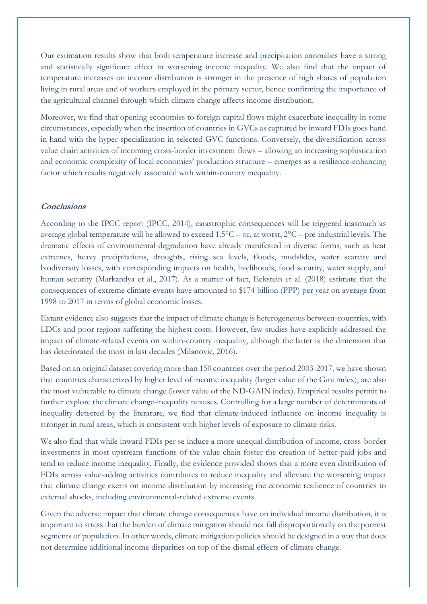Our estimation results show that both temperature increase and precipitation anomalies have a strong and statistically significant effect in worsening income inequality. We also find that the impact of temperature increases on income distribution is stronger in the presence of high shares of population living in rural areas and of workers employed in the primary sector, hence confirming the importance of the agricultural channel through which climate change affects income distribution.

Moreover, we find that opening economies to foreign capital flows might exacerbate inequality in some circumstances, especially when the insertion of countries in GVCs as captured by inward FDIs goes hand in hand with the hyper-specialization in selected GVC functions. Conversely, the diversification across value chain activities of incoming cross-border investment flows – allowing an increasing sophistication and economic complexity of local economies' production structure – emerges as a resilience-enhancing factor which results negatively associated with within-country inequality.

#### **Conclusions**

According to the IPCC report (IPCC, 2014), catastrophic consequences will be triggered inasmuch as average global temperature will be allowed to exceed 1.5°C – or, at worst, 2°C – pre-industrial levels. The dramatic effects of environmental degradation have already manifested in diverse forms, such as heat extremes, heavy precipitations, droughts, rising sea levels, floods, mudslides, water scarcity and biodiversity losses, with corresponding impacts on health, livelihoods, food security, water supply, and human security (Markandya et al., 2017). As a matter of fact, Eckstein et al. (2018) estimate that the consequences of extreme climate events have amounted to \$174 billion (PPP) per year on average from 1998 to 2017 in terms of global economic losses.

Extant evidence also suggests that the impact of climate change is heterogeneous between-countries, with LDCs and poor regions suffering the highest costs. However, few studies have explicitly addressed the impact of climate-related events on within-country inequality, although the latter is the dimension that has deteriorated the most in last decades (Milanovic, 2016).

Based on an original dataset covering more than 150 countries over the period 2003-2017, we have shown that countries characterized by higher level of income inequality (larger value of the Gini index), are also the most vulnerable to climate change (lower value of the ND-GAIN index). Empirical results permit to further explore the climate change-inequality nexuses. Controlling for a large number of determinants of inequality detected by the literature, we find that climate-induced influence on income inequality is stronger in rural areas, which is consistent with higher levels of exposure to climate risks.

We also find that while inward FDIs per se induce a more unequal distribution of income, cross-border investments in most upstream functions of the value chain foster the creation of better-paid jobs and tend to reduce income inequality. Finally, the evidence provided shows that a more even distribution of FDIs across value-adding activities contributes to reduce inequality and alleviate the worsening impact that climate change exerts on income distribution by increasing the economic resilience of countries to external shocks, including environmental-related extreme events.

Given the adverse impact that climate change consequences have on individual income distribution, it is important to stress that the burden of climate mitigation should not fall disproportionally on the poorest segments of population. In other words, climate mitigation policies should be designed in a way that does not determine additional income disparities on top of the dismal effects of climate change.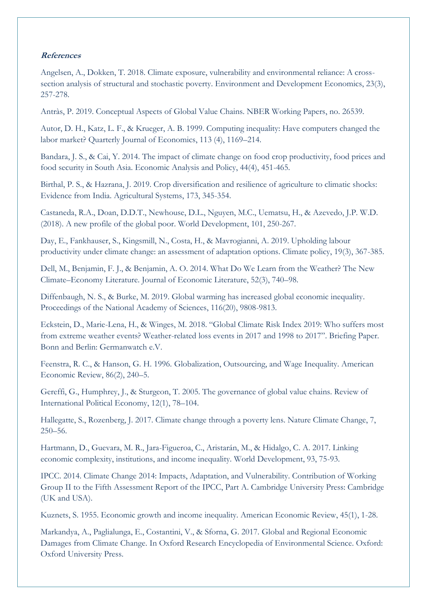### **References**

Angelsen, A., Dokken, T. 2018. Climate exposure, vulnerability and environmental reliance: A crosssection analysis of structural and stochastic poverty. Environment and Development Economics, 23(3), 257-278.

Antràs, P. 2019. Conceptual Aspects of Global Value Chains. NBER Working Papers, no. 26539.

Autor, D. H., Katz, L. F., & Krueger, A. B. 1999. Computing inequality: Have computers changed the labor market? Quarterly Journal of Economics, 113 (4), 1169–214.

Bandara, J. S., & Cai, Y. 2014. The impact of climate change on food crop productivity, food prices and food security in South Asia. Economic Analysis and Policy, 44(4), 451-465.

Birthal, P. S., & Hazrana, J. 2019. Crop diversification and resilience of agriculture to climatic shocks: Evidence from India. Agricultural Systems, 173, 345-354.

Castaneda, R.A., Doan, D.D.T., Newhouse, D.L., Nguyen, M.C., Uematsu, H., & Azevedo, J.P. W.D. (2018). A new profile of the global poor. World Development, 101, 250-267.

Day, E., Fankhauser, S., Kingsmill, N., Costa, H., & Mavrogianni, A. 2019. Upholding labour productivity under climate change: an assessment of adaptation options. Climate policy, 19(3), 367-385.

Dell, M., Benjamin, F. J., & Benjamin, A. O. 2014. What Do We Learn from the Weather? The New Climate–Economy Literature. Journal of Economic Literature, 52(3), 740–98.

Diffenbaugh, N. S., & Burke, M. 2019. Global warming has increased global economic inequality. Proceedings of the National Academy of Sciences, 116(20), 9808-9813.

Eckstein, D., Marie-Lena, H., & Winges, M. 2018. "Global Climate Risk Index 2019: Who suffers most from extreme weather events? Weather-related loss events in 2017 and 1998 to 2017". Briefing Paper. Bonn and Berlin: Germanwatch e.V.

Feenstra, R. C., & Hanson, G. H. 1996. Globalization, Outsourcing, and Wage Inequality. American Economic Review, 86(2), 240–5.

Gereffi, G., Humphrey, J., & Sturgeon, T. 2005. The governance of global value chains. Review of International Political Economy, 12(1), 78–104.

Hallegatte, S., Rozenberg, J. 2017. Climate change through a poverty lens. Nature Climate Change, 7, 250–56.

Hartmann, D., Guevara, M. R., Jara-Figueroa, C., Aristarán, M., & Hidalgo, C. A. 2017. Linking economic complexity, institutions, and income inequality. World Development, 93, 75-93.

IPCC. 2014. Climate Change 2014: Impacts, Adaptation, and Vulnerability. Contribution of Working Group II to the Fifth Assessment Report of the IPCC, Part A. Cambridge University Press: Cambridge (UK and USA).

Kuznets, S. 1955. Economic growth and income inequality. American Economic Review, 45(1), 1-28.

Markandya, A., Paglialunga, E., Costantini, V., & Sforna, G. 2017. Global and Regional Economic Damages from Climate Change. In Oxford Research Encyclopedia of Environmental Science. Oxford: Oxford University Press.